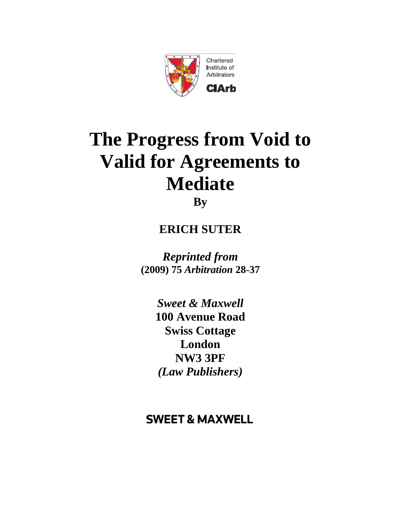

# **The Progress from Void to Valid for Agreements to Mediate By**

## **ERICH SUTER**

 **(2009) 75** *Arbitration* **28-37** *Reprinted from*

> *Sweet & Maxwell*  **100 Avenue Road Swiss Cottage London NW3 3PF** *(Law Publishers)*

### **SWEET & MAXWELL**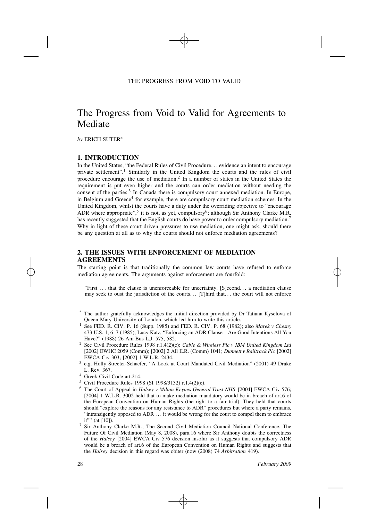### The Progress from Void to Valid for Agreements to Mediate

*by* ERICH SUTER∗

#### **1. INTRODUCTION**

In the United States, "the Federal Rules of Civil Procedure*...* evidence an intent to encourage private settlement".<sup>1</sup> Similarly in the United Kingdom the courts and the rules of civil procedure encourage the use of mediation.2 In a number of states in the United States the requirement is put even higher and the courts can order mediation without needing the consent of the parties.<sup>3</sup> In Canada there is compulsory court annexed mediation. In Europe, in Belgium and Greece<sup>4</sup> for example, there are compulsory court mediation schemes. In the United Kingdom, whilst the courts have a duty under the overriding objective to "encourage ADR where appropriate",<sup>5</sup> it is not, as yet, compulsory<sup>6</sup>; although Sir Anthony Clarke M.R. has recently suggested that the English courts do have power to order compulsory mediation.<sup>7</sup> Why in light of these court driven pressures to use mediation, one might ask, should there be any question at all as to why the courts should not enforce mediation agreements?

#### **2. THE ISSUES WITH ENFORCEMENT OF MEDIATION AGREEMENTS**

The starting point is that traditionally the common law courts have refused to enforce mediation agreements. The arguments against enforcement are fourfold:

"First *. . .* that the clause is unenforceable for uncertainty. [S]econd*. . .* a mediation clause may seek to oust the jurisdiction of the courts*. . .* [T]hird that*. . .* the court will not enforce

- The author gratefully acknowledges the initial direction provided by Dr Tatiana Kyselova of Queen Mary University of London, which led him to write this article.<br>See FED. R. CIV. P. 16 (Supp. 1985) and FED. R. CIV. P. 68 (1982); also *Marek v Chesny*
- 473 U.S. 1, 6–7 (1985); Lucy Katz, "Enforcing an ADR Clause—Are Good Intentions All You
- Have?" (1988) 26 Am Bus L.J. 575, 582. 2 See Civil Procedure Rules 1998 r.1.4(2)(e); *Cable & Wireless Plc <sup>v</sup> IBM United Kingdom Ltd* [2002] EWHC 2059 (Comm); [2002] 2 All E.R. (Comm) 1041; *Dunnett v Railtrack Plc* [2002]
- EWCA Civ 303; [2002] 1 W.L.R. 2434. 3 e.g. Holly Streeter-Schaefer, "A Look at Court Mandated Civil Mediation" (2001) 49 Drake L. Rev. 367.<br>
<sup>4</sup> Greek Civil Code art.214.<br>
<sup>5</sup> Civil Procedure Rules 1998 (SI 1998/3132) r.1.4(2)(e).<br>
<sup>6</sup> The Court of Appeal in *Halsey v Milton Keynes General Trust NHS* [2004] EWCA Civ 576;
- 
- 
- [2004] 1 W.L.R. 3002 held that to make mediation mandatory would be in breach of art.6 of the European Convention on Human Rights (the right to a fair trial). They held that courts should "explore the reasons for any resistance to ADR" procedures but where a party remains, "intransigently opposed to ADR *...* it would be wrong for the court to compel them to embrace
- it"" (at [10]).<br><sup>7</sup> Sir Anthony Clarke M.R., The Second Civil Mediation Council National Conference, The Future Of Civil Mediation (May 8, 2008), para.16 where Sir Anthony doubts the correctness of the *Halsey* [2004] EWCA Civ 576 decision insofar as it suggests that compulsory ADR would be a breach of art.6 of the European Convention on Human Rights and suggests that the *Halsey* decision in this regard was obiter (now (2008) 74 *Arbitration* 419).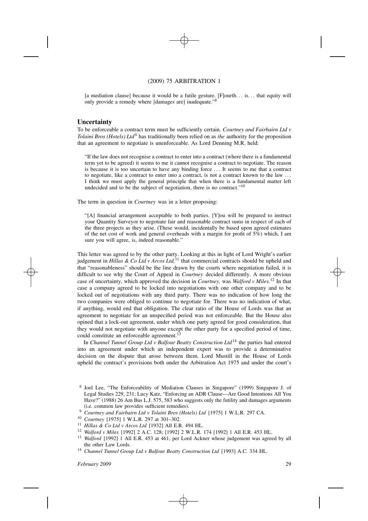[a mediation clause] because it would be a futile gesture. [F]ourth*. . .* is*. . .* that equity will only provide a remedy where [damages are] inadequate."<sup>8</sup>

#### **Uncertainty**

To be enforceable a contract term must be sufficiently certain. *Courtney and Fairbairn Ltd v Tolaini Bros (Hotels) Ltd*9 has traditionally been relied on as *the* authority for the proposition that an agreement to negotiate is unenforceable. As Lord Denning M.R. held:

"If the law does not recognise a contract to enter into a contract (where there is a fundamental term yet to be agreed) it seems to me it cannot recognise a contract to negotiate. The reason is because it is too uncertain to have any binding force *. . .* It seems to me that a contract to negotiate, like a contract to enter into a contract, is not a contract known to the law *. . .* I think we must apply the general principle that when there is a fundamental matter left undecided and to be the subject of negotiation, there is no contract."<sup>10</sup>

The term in question in *Courtney* was in a letter proposing:

"[A] financial arrangement acceptable to both parties. [Y]ou will be prepared to instruct your Quantity Surveyor to negotiate fair and reasonable contract sums in respect of each of the three projects as they arise. (These would, incidentally be based upon agreed estimates of the net cost of work and general overheads with a margin for profit of 5%) which, I am sure you will agree, is, indeed reasonable."

This letter was agreed to by the other party. Looking at this in light of Lord Wright's earlier judgement in *Hillas & Co Ltd v Arcos Ltd,*11 that commercial contracts should be upheld and that "reasonableness" should be the line drawn by the courts where negotiation failed, it is difficult to see why the Court of Appeal in *Courtney* decided differently. A more obvious case of uncertainty, which approved the decision in *Courtney,* was *Walford v Miles*. 12 In that case a company agreed to be locked into negotiations with one other company and to be locked out of negotiations with any third party. There was no indication of how long the two companies were obliged to continue to negotiate for. There was no indication of what, if anything, would end that obligation. The clear ratio of the House of Lords was that an agreement to negotiate for an unspecified period was not enforceable. But the House also opined that a lock-out agreement, under which one party agreed for good consideration, that they would not negotiate with anyone except the other party for a specified period of time, could constitute an enforceable agreement.<sup>13</sup>

In *Channel Tunnel Group Ltd v Balfour Beatty Construction Ltd*14 the parties had entered into an agreement under which an independent expert was to provide a determinative decision on the dispute that arose between them. Lord Mustill in the House of Lords upheld the contract's provisions both under the Arbitration Act 1975 and under the court's

- 
- 
- 
- 
- (i.e. common law provides sufficient remedies).<br>
<sup>9</sup> Courtney and Fairbairn Ltd v Tolaini Bros (Hotels) Ltd [1975] 1 W.L.R. 297 CA.<br>
<sup>10</sup> Courtney [1975] 1 W.L.R. 297 at 301–302.<br>
<sup>11</sup> Hillas & Co Ltd v Arcos Ltd [1932] A

the other Law Lords. 14 *Channel Tunnel Group Ltd <sup>v</sup> Balfour Beatty Construction Ltd* [1993] A.C. 334 HL.

<sup>8</sup> Joel Lee, "The Enforceability of Mediation Clauses in Singapore" (1999) Singapore J. of Legal Studies 229, 231; Lucy Katz, "Enforcing an ADR Clause—Are Good Intentions All You Have?" (1988) 26 Am Bus L.J. 575, 583 who suggests only the futility and damages arguments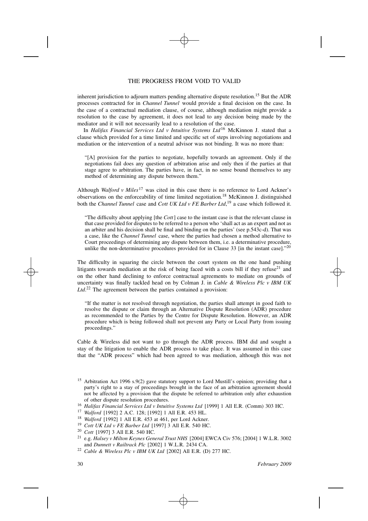inherent jurisdiction to adjourn matters pending alternative dispute resolution.<sup>15</sup> But the ADR processes contracted for in *Channel Tunnel* would provide a final decision on the case. In the case of a contractual mediation clause, of course, although mediation might provide a resolution to the case by agreement, it does not lead to any decision being made by the mediator and it will not necessarily lead to a resolution of the case.

In *Halifax Financial Services Ltd v Intuitive Systems Ltd*16 McKinnon J. stated that a clause which provided for a time limited and specific set of steps involving negotiations and mediation or the intervention of a neutral advisor was not binding. It was no more than:

"[A] provision for the parties to negotiate, hopefully towards an agreement. Only if the negotiations fail does any question of arbitration arise and only then if the parties at that stage agree to arbitration. The parties have, in fact, in no sense bound themselves to any method of determining any dispute between them."

Although *Walford v Miles*17 was cited in this case there is no reference to Lord Ackner's observations on the enforceability of time limited negotiation.18 McKinnon J. distinguished both the *Channel Tunnel* case and *Cott UK Ltd v FE Barber Ltd*, 19 a case which followed it.

"The difficulty about applying [the *Cott*] case to the instant case is that the relevant clause in that case provided for disputes to be referred to a person who 'shall act as an expert and not as an arbiter and his decision shall be final and binding on the parties' (see p.543c-d). That was a case, like the *Channel Tunnel* case, where the parties had chosen a method alternative to Court proceedings of determining any dispute between them, i.e. a determinative procedure, unlike the non-determinative procedures provided for in Clause 33 [in the instant case]. $2^{20}$ 

The difficulty in squaring the circle between the court system on the one hand pushing litigants towards mediation at the risk of being faced with a costs bill if they refuse<sup>21</sup> and on the other hand declining to enforce contractual agreements to mediate on grounds of uncertainty was finally tackled head on by Colman J. in *Cable & Wireless Plc v IBM UK Ltd*. 22 The agreement between the parties contained a provision:

"If the matter is not resolved through negotiation, the parties shall attempt in good faith to resolve the dispute or claim through an Alternative Dispute Resolution (ADR) procedure as recommended to the Parties by the Centre for Dispute Resolution. However, an ADR procedure which is being followed shall not prevent any Party or Local Party from issuing proceedings."

Cable & Wireless did not want to go through the ADR process. IBM did and sought a stay of the litigation to enable the ADR process to take place. It was assumed in this case that the "ADR process" which had been agreed to was mediation, although this was not

- <sup>18</sup>*Walford* [1992] 1 All E.R. 453 at 461, per Lord Ackner.
- <sup>19</sup>*Cott UK Ltd v FE Barber Ltd* [1997] 3 All E.R. 540 HC.
- <sup>20</sup> Cott<sup>[1997]</sup> 3 All E.R. 540 HC.
- 21 e.g. *Halsey v Milton Keynes General Trust NHS* [2004] EWCA Civ 576; [2004] 1 W.L.R. 3002
- and *Dunnett <sup>v</sup> Railtrack Plc* [2002] 1 W.L.R. 2434 CA. 22 *Cable & Wireless Plc <sup>v</sup> IBM UK Ltd* [2002] All E.R. (D) 277 HC.

<sup>&</sup>lt;sup>15</sup> Arbitration Act 1996 s.9(2) gave statutory support to Lord Mustill's opinion; providing that a party's right to a stay of proceedings brought in the face of an arbitration agreement should not be affected by a provision that the dispute be referred to arbitration only after exhaustion of other dispute resolution procedures. 16 *Halifax Financial Services Ltd <sup>v</sup> Intuitive Systems Ltd* [1999] 1 All E.R. (Comm) 303 HC.

<sup>17</sup>*Walford* [1992] 2 A.C. 128; [1992] 1 All E.R. 453 HL.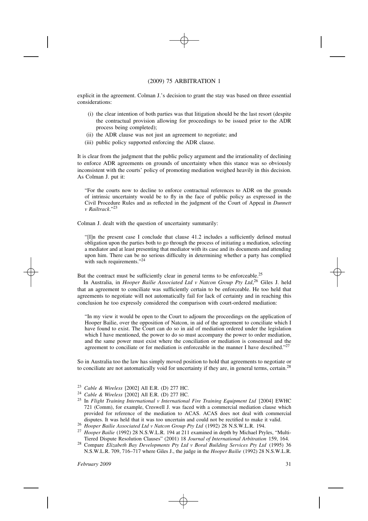explicit in the agreement. Colman J.'s decision to grant the stay was based on three essential considerations:

- (i) the clear intention of both parties was that litigation should be the last resort (despite the contractual provision allowing for proceedings to be issued prior to the ADR process being completed);
- (ii) the ADR clause was not just an agreement to negotiate; and
- (iii) public policy supported enforcing the ADR clause.

It is clear from the judgment that the public policy argument and the irrationality of declining to enforce ADR agreements on grounds of uncertainty when this stance was so obviously inconsistent with the courts' policy of promoting mediation weighed heavily in this decision. As Colman J. put it:

"For the courts now to decline to enforce contractual references to ADR on the grounds of intrinsic uncertainty would be to fly in the face of public policy as expressed in the Civil Procedure Rules and as reflected in the judgment of the Court of Appeal in *Dunnett v Railtrack*."23

Colman J. dealt with the question of uncertainty summarily:

"[I]n the present case I conclude that clause 41.2 includes a sufficiently defined mutual obligation upon the parties both to go through the process of initiating a mediation, selecting a mediator and at least presenting that mediator with its case and its documents and attending upon him. There can be no serious difficulty in determining whether a party has complied with such requirements."24

But the contract must be sufficiently clear in general terms to be enforceable.<sup>25</sup>

In Australia, in *Hooper Bailie Associated Ltd v Natcon Group Pty Ltd*, 26 Giles J. held that an agreement to conciliate was sufficiently certain to be enforceable. He too held that agreements to negotiate will not automatically fail for lack of certainty and in reaching this conclusion he too expressly considered the comparison with court-ordered mediation:

"In my view it would be open to the Court to adjourn the proceedings on the application of Hooper Bailie, over the opposition of Natcon, in aid of the agreement to conciliate which I have found to exist. The Court can do so in aid of mediation ordered under the legislation which I have mentioned, the power to do so must accompany the power to order mediation, and the same power must exist where the conciliation or mediation is consensual and the agreement to conciliate or for mediation is enforceable in the manner I have described."<sup>27</sup>

So in Australia too the law has simply moved position to hold that agreements to negotiate or to conciliate are not automatically void for uncertainty if they are, in general terms, certain.<sup>28</sup>

- 
- 
- <sup>23</sup> Cable & Wireless [2002] All E.R. (D) 277 HC.<br><sup>24</sup> Cable & Wireless [2002] All E.R. (D) 277 HC.<br><sup>25</sup> In Flight Training International v International Fire Training Equipment Ltd [2004] EWHC 721 (Comm), for example, Creswell J. was faced with a commercial mediation clause which provided for reference of the mediation to ACAS. ACAS does not deal with commercial
- 
- disputes. It was held that it was too uncertain and could not be rectified to make it valid.<br><sup>26</sup> Hooper Bailie Associated Ltd v Natcon Group Pty Ltd (1992) 28 N.S.W.L.R. 194.<br><sup>27</sup> Hooper Bailie (1992) 28 N.S.W.L.R. 194 at Tiered Dispute Resolution Clauses" (2001) 18 Journal of International Arbitration 159, 164.<br><sup>28</sup> Compare *Elizabeth Bay Developments Pty Ltd v Boral Building Services Pty Ltd* (1995) 36
- N.S.W.L.R. 709, 716–717 where Giles J., the judge in the *Hooper Bailie* (1992) 28 N.S.W.L.R.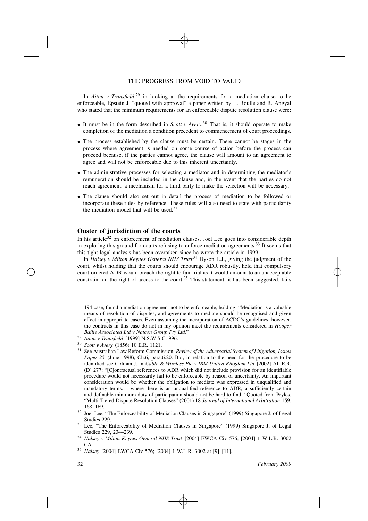In *Aiton v Transfield*, 29 in looking at the requirements for a mediation clause to be enforceable, Epstein J. "quoted with approval" a paper written by L. Boulle and R. Angyal who stated that the minimum requirements for an enforceable dispute resolution clause were:

- It must be in the form described in *Scott <sup>v</sup> Avery.*30 That is, it should operate to make completion of the mediation a condition precedent to commencement of court proceedings.
- The process established by the clause must be certain. There cannot be stages in the process where agreement is needed on some course of action before the process can proceed because, if the parties cannot agree, the clause will amount to an agreement to agree and will not be enforceable due to this inherent uncertainty.
- The administrative processes for selecting a mediator and in determining the mediator's remuneration should be included in the clause and, in the event that the parties do not reach agreement, a mechanism for a third party to make the selection will be necessary.
- The clause should also set out in detail the process of mediation to be followed or incorporate these rules by reference. These rules will also need to state with particularity the mediation model that will be used. $31$

#### **Ouster of jurisdiction of the courts**

In his article<sup>32</sup> on enforcement of mediation clauses, Joel Lee goes into considerable depth in exploring this ground for courts refusing to enforce mediation agreements.<sup>33</sup> It seems that this tight legal analysis has been overtaken since he wrote the article in 1999.

In *Halsey v Milton Keynes General NHS Trust* 34 Dyson L.J., giving the judgment of the court, whilst holding that the courts should encourage ADR robustly, held that compulsory court-ordered ADR would breach the right to fair trial as it would amount to an unacceptable constraint on the right of access to the court.<sup>35</sup> This statement, it has been suggested, fails

194 case, found a mediation agreement not to be enforceable, holding: "Mediation is a valuable means of resolution of disputes, and agreements to mediate should be recognised and given effect in appropriate cases. Even assuming the incorporation of ACDC's guidelines, however, the contracts in this case do not in my opinion meet the requirements considered in *Hooper*

- *Bailie Associated Ltd <sup>v</sup> Natcon Group Pty Ltd.*" 29 *Aiton <sup>v</sup> Transfield* [1999] N.S.W.S.C. 996.
- <sup>30</sup>*Scott v Avery* (1856) 10 E.R. 1121.
- 31 See Australian Law Reform Commission, *Review of the Adversarial System of Litigation, Issues Paper* 25 (June 1998), Ch.6, para.6.20. But, in relation to the need for the procedure to be identified see Colman J. in *Cable & Wireless Plc v IBM United Kingdom Ltd* [2002] All E.R. (D) 277: "[C]ontractual references to ADR which did not include provision for an identifiable procedure would not necessarily fail to be enforceable by reason of uncertainty. An important consideration would be whether the obligation to mediate was expressed in unqualified and mandatory terms*. . .* where there is an unqualified reference to ADR, a sufficiently certain and definable minimum duty of participation should not be hard to find." Quoted from Pryles, "Multi-Tiered Dispute Resolution Clauses" (2001) 18 *Journal of International Arbitration* 159, 168–169. 32 Joel Lee, "The Enforceability of Mediation Clauses in Singapore" (1999) Singapore J. of Legal

Studies 229.<br><sup>33</sup> Lee, "The Enforceability of Mediation Clauses in Singapore" (1999) Singapore J. of Legal

Studies 229, 234–239. 34 *Halsey <sup>v</sup> Milton Keynes General NHS Trust* [2004] EWCA Civ 576; [2004] 1 W.L.R. 3002

CA. 35 *Halsey* [2004] EWCA Civ 576; [2004] 1 W.L.R. 3002 at [9]–[11].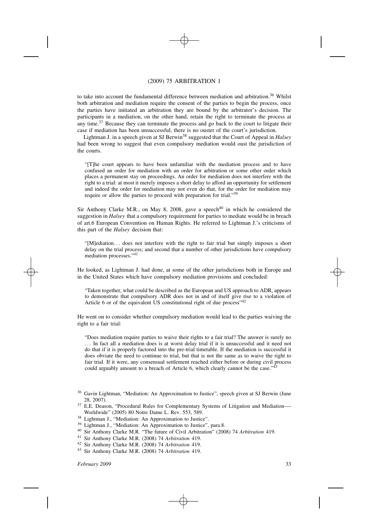to take into account the fundamental difference between mediation and arbitration.<sup>36</sup> Whilst both arbitration and mediation require the consent of the parties to begin the process, once the parties have initiated an arbitration they are bound by the arbitrator's decision. The participants in a mediation, on the other hand, retain the right to terminate the process at any time.<sup>37</sup> Because they can terminate the process and go back to the court to litigate their case if mediation has been unsuccessful, there is no ouster of the court's jurisdiction.

Lightman J. in a speech given at SJ Berwin38 suggested that the Court of Appeal in *Halsey* had been wrong to suggest that even compulsory mediation would oust the jurisdiction of the courts.

"[T]he court appears to have been unfamiliar with the mediation process and to have confused an order for mediation with an order for arbitration or some other order which places a permanent stay on proceedings. An order for mediation does not interfere with the right to a trial: at most it merely imposes a short delay to afford an opportunity for settlement and indeed the order for mediation may not even do that, for the order for mediation may require or allow the parties to proceed with preparation for trial."39

Sir Anthony Clarke M.R., on May 8, 2008, gave a speech<sup>40</sup> in which he considered the suggestion in *Halsey* that a compulsory requirement for parties to mediate would be in breach of art.6 European Convention on Human Rights. He referred to Lightman J.'s criticisms of this part of the *Halsey* decision that:

"[M]ediation*. . .* does not interfere with the right to fair trial but simply imposes a short delay on the trial process; and second that a number of other jurisdictions have compulsory mediation processes."41

He looked, as Lightman J. had done, at some of the other jurisdictions both in Europe and in the United States which have compulsory mediation provisions and concluded:

"Taken together, what could be described as the European and US approach to ADR, appears to demonstrate that compulsory ADR does not in and of itself give rise to a violation of Article 6 or of the equivalent US constitutional right of due process<sup>"42</sup>

He went on to consider whether compulsory mediation would lead to the parties waiving the right to a fair trial:

"Does mediation require parties to waive their rights to a fair trial? The answer is surely no *. . .* In fact all a mediation does is at worst delay trial if it is unsuccessful and it need not do that if it is properly factored into the pre-trial timetable. If the mediation is successful it does obviate the need to continue to trial, but that is not the same as to waive the right to fair trial. If it were, any consensual settlement reached either before or during civil process could arguably amount to a breach of Article 6, which clearly cannot be the case."<sup>2</sup>

- 
- 
- 
- 

<sup>&</sup>lt;sup>36</sup> Gavin Lightman, "Mediation: An Approximation to Justice", speech given at SJ Berwin (June 28, 2007).<br>E.E. Deason, "Procedural Rules for Complementary Systems of Litigation and Mediation—

Worldwide" (2005) 80 Notre Dame L. Rev. 553, 589.<br>
<sup>38</sup> Lightman J., "Mediation: An Approximation to Justice".<br>
<sup>39</sup> Lightman J., "Mediation: An Approximation to Justice", para.8.<br>
<sup>40</sup> Sir Anthony Clarke M.R. "The future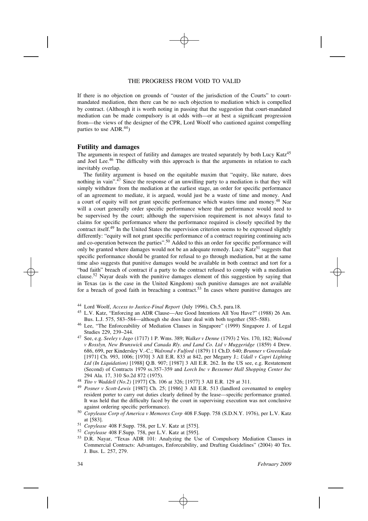If there is no objection on grounds of "ouster of the jurisdiction of the Courts" to courtmandated mediation, then there can be no such objection to mediation which is compelled by contract. (Although it is worth noting in passing that the suggestion that court-mandated mediation can be made compulsory is at odds with—or at best a significant progression from—the views of the designer of the CPR, Lord Woolf who cautioned against compelling parties to use ADR.<sup>44</sup>)

#### **Futility and damages**

The arguments in respect of futility and damages are treated separately by both Lucy Katz<sup>45</sup> and Joel Lee.<sup>46</sup> The difficulty with this approach is that the arguments in relation to each inevitably overlap.

The futility argument is based on the equitable maxim that "equity, like nature, does nothing in vain". $47$  Since the response of an unwilling party to a mediation is that they will simply withdraw from the mediation at the earliest stage, an order for specific performance of an agreement to mediate, it is argued, would just be a waste of time and money. And a court of equity will not grant specific performance which wastes time and money.48 Nor will a court generally order specific performance where that performance would need to be supervised by the court; although the supervision requirement is not always fatal to claims for specific performance where the performance required is closely specified by the contract itself.<sup>49</sup> In the United States the supervision criterion seems to be expressed slightly differently: "equity will not grant specific performance of a contract requiring continuing acts and co-operation between the parties".<sup>50</sup> Added to this an order for specific performance will only be granted where damages would not be an adequate remedy. Lucy Katz<sup>51</sup> suggests that specific performance should be granted for refusal to go through mediation, but at the same time also suggests that punitive damages would be available in both contract and tort for a "bad faith" breach of contract if a party to the contract refused to comply with a mediation clause.52 Nayar deals with the punitive damages element of this suggestion by saying that in Texas (as is the case in the United Kingdom) such punitive damages are not available for a breach of good faith in breaching a contract.<sup>53</sup> In cases where punitive damages are

- 44 Lord Woolf, *Access to Justice-Final Report* (July 1996), Ch.5, para.18. 45 L.V. Katz, "Enforcing an ADR Clause—Are Good Intentions All You Have?" (1988) 26 Am.
- Bus. L.J. 575, 583–584—although she does later deal with both together (585–588). 46 Lee, "The Enforceability of Mediation Clauses in Singapore" (1999) Singapore J. of Legal
- Studies 229, 239–244. 47 See, e.g. *Seeley <sup>v</sup> Jago* (1717) 1 P. Wms. 389; *Walker <sup>v</sup> Denne* (1793) 2 Ves. 170, 182; *Walrond v Rosslyn, New Brunswick and Canada Rly. and Land Co. Ltd v Muggeridge* (1859) 4 Drew. 686, 699, per Kindersley V.-C.; *Walrond v Fulford* (1879) 11 Ch.D. 640; *Brunner v Greenslade* [1971] Ch. 993, 1006; [1970] 3 All E.R. 833 at 842, per Megarry J.; *Udall v Capri Lighting Ltd (In Liquidation)* [1988] Q.B. 907; [1987] 3 All E.R. 262. In the US see, e.g. Restatement (Second) of Contracts 1979 ss.357–359 and *Lorch Inc v Bessemer Hall Shopping Center Inc*
- 
- 294 Ala. 17, 310 So.2d 872 (1975).<br><sup>48</sup> *Tito v Waddell (No.2)* [1977] Ch. 106 at 326; [1977] 3 All E.R. 129 at 311.<br><sup>49</sup> *Posner v Scott-Lewis* [1987] Ch. 25; [1986] 3 All E.R. 513 (landlord covenanted to employ resident porter to carry out duties clearly defined by the lease—specific performance granted. It was held that the difficulty faced by the court in supervising execution was not conclusive
- against ordering specific performance). 50 *Copylease Corp of America <sup>v</sup> Memorex Corp* 408 F.Supp. 758 (S.D.N.Y. 1976), per L.V. Katz
- 
- 

at [583]. 51 *Copylease* 408 F.Supp. 758, per L.V. Katz at [575]. 52 *Copylease* 408 F.Supp. 758, per L.V. Katz at [595]. 53 D.R. Nayar, "Texas ADR 101: Analyzing the Use of Compulsory Mediation Clauses in Commercial Contracts: Advantages, Enforceability, and Drafting Guidelines" (2004) 40 Tex. J. Bus. L. 257, 279.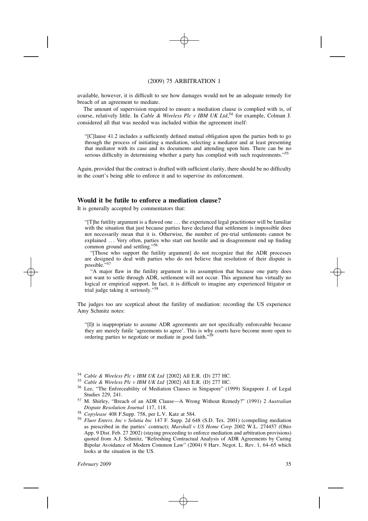available, however, it is difficult to see how damages would not be an adequate remedy for breach of an agreement to mediate.

The amount of supervision required to ensure a mediation clause is complied with is, of course, relatively little. In *Cable & Wireless Plc v IBM UK Ltd*, 54 for example, Colman J. considered all that was needed was included within the agreement itself:

"[C]lause 41.2 includes a sufficiently defined mutual obligation upon the parties both to go through the process of initiating a mediation, selecting a mediator and at least presenting that mediator with its case and its documents and attending upon him. There can be no serious difficulty in determining whether a party has complied with such requirements."<sup>55</sup>

Again, provided that the contract is drafted with sufficient clarity, there should be no difficulty in the court's being able to enforce it and to supervise its enforcement.

#### **Would it be futile to enforce a mediation clause?**

It is generally accepted by commentators that:

"[T]he futility argument is a flawed one *...* the experienced legal practitioner will be familiar with the situation that just because parties have declared that settlement is impossible does not necessarily mean that it is. Otherwise, the number of pre-trial settlements cannot be explained ... Very often, parties who start out hostile and in disagreement end up finding common ground and settling."56

"[Those who support the futility argument] do not recognize that the ADR processes are designed to deal with parties who do not believe that resolution of their dispute is possible."<sup>5</sup>

"A major flaw in the futility argument is its assumption that because one party does not want to settle through ADR, settlement will not occur. This argument has virtually no logical or empirical support. In fact, it is difficult to imagine any experienced litigator or trial judge taking it seriously."<sup>58</sup>

The judges too are sceptical about the futility of mediation: recording the US experience Amy Schmitz notes:

"[I]t is inappropriate to assume ADR agreements are not specifically enforceable because they are merely futile 'agreements to agree'. This is why courts have become more open to ordering parties to negotiate or mediate in good faith."<sup>5</sup>

- 
- 
- <sup>54</sup> Cable & Wireless Plc v IBM UK Ltd [2002] All E.R. (D) 277 HC.<br><sup>55</sup> Cable & Wireless Plc v IBM UK Ltd [2002] All E.R. (D) 277 HC.<br><sup>56</sup> Lee, "The Enforceability of Mediation Clauses in Singapore" (1999) Singapore J. of Studies 229, 241. 57 M. Shirley, "Breach of an ADR Clause—A Wrong Without Remedy?" (1991) 2 *Australian*
- 
- 
- *Dispute Resolution Journal 117, 118.*<br><sup>58</sup> *Copylease 408 F.Supp. 758, per L.V. Katz at 584.*<br><sup>59</sup> *Fluor Enters. Inc v Solutia Inc 147 F. Supp. 2d 648 (S.D. Tex. 2001) (compelling mediation* as prescribed in the parties' contract); *Marshall v US Home Corp* 2002 W.L. 274457 (Ohio App. 9 Dist. Feb. 27 2002) (staying proceeding to enforce mediation and arbitration provisions) quoted from A.J. Schmitz, "Refreshing Contractual Analysis of ADR Agreements by Curing Bipolar Avoidance of Modern Common Law" (2004) 9 Harv. Negot. L. Rev. 1, 64–65 which looks at the situation in the US.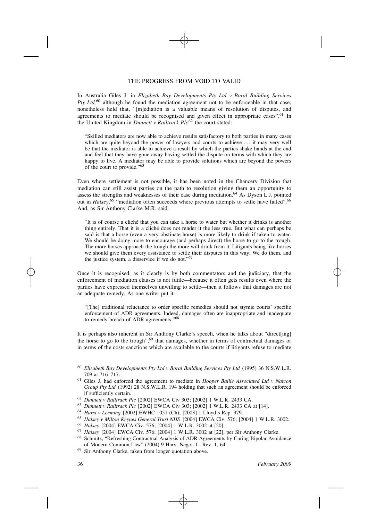In Australia Giles J. in *Elizabeth Bay Developments Pty Ltd v Boral Building Services Pty Ltd,*60 although he found the mediation agreement not to be enforceable in that case, nonetheless held that, "[m]ediation is a valuable means of resolution of disputes, and agreements to mediate should be recognised and given effect in appropriate cases".<sup>61</sup> In the United Kingdom in *Dunnett v Railtrack Plc*62 the court stated:

"Skilled mediators are now able to achieve results satisfactory to both parties in many cases which are quite beyond the power of lawyers and courts to achieve *. . .* it may very well be that the mediator is able to achieve a result by which the parties shake hands at the end and feel that they have gone away having settled the dispute on terms with which they are happy to live. A mediator may be able to provide solutions which are beyond the powers of the court to provide."<sup>63</sup>

Even where settlement is not possible, it has been noted in the Chancery Division that mediation can still assist parties on the path to resolution giving them an opportunity to assess the strengths and weaknesses of their case during mediation.<sup>64</sup> As Dyson L.J. pointed out in *Halsey*,<sup>65</sup> "mediation often succeeds where previous attempts to settle have failed".<sup>66</sup> And, as Sir Anthony Clarke M.R. said:

"It is of course a cliché that you can take a horse to water but whether it drinks is another thing entirely. That it is a cliché does not render it the less true. But what can perhaps be said is that a horse (even a very obstinate horse) is more likely to drink if taken to water. We should be doing more to encourage (and perhaps direct) the horse to go to the trough. The more horses approach the trough the more will drink from it. Litigants being like horses we should give them every assistance to settle their disputes in this way. We do them, and the justice system, a disservice if we do not."<sup>67</sup>

Once it is recognised, as it clearly is by both commentators and the judiciary, that the enforcement of mediation clauses is not futile—because it often gets results even where the parties have expressed themselves unwilling to settle—then it follows that damages are not an adequate remedy. As one writer put it:

"[The] traditional reluctance to order specific remedies should not stymie courts' specific enforcement of ADR agreements. Indeed, damages often are inappropriate and inadequate to remedy breach of ADR agreements."68

It is perhaps also inherent in Sir Anthony Clarke's speech, when he talks about "direct[ing] the horse to go to the trough", $69$  that damages, whether in terms of contractual damages or in terms of the costs sanctions which are available to the courts if litigants refuse to mediate

- *Group Pty Ltd* (1992) 28 N.S.W.L.R. 194 holding that such an agreement should be enforced if sufficiently certain. 62 *Dunnett <sup>v</sup> Railtrack Plc* [2002] EWCA Civ 303; [2002] 1 W.L.R. 2433 CA.
- 
- <sup>63</sup>*Dunnett v Railtrack Plc* [2002] EWCA Civ 303; [2002] 1 W.L.R. 2433 CA at [14].
- <sup>64</sup>*Hurst v Leeming* [2002] EWHC 1051 (Ch); [2003] 1 Lloyd's Rep. 379.
- <sup>65</sup>*Halsey v Milton Keynes General Trust NHS* [2004] EWCA Civ. 576; [2004] 1 W.L.R. 3002.
- <sup>66</sup>*Halsey* [2004] EWCA Civ. 576; [2004] 1 W.L.R. 3002 at [20].
- <sup>67</sup>*Halsey* [2004] EWCA Civ. 576; [2004] 1 W.L.R. 3002 at [22], per Sir Anthony Clarke.
- Schmitz, "Refreshing Contractual Analysis of ADR Agreements by Curing Bipolar Avoidance of Modern Common Law" (2004) 9 Harv. Negot. L. Rev. 1, 64.
- $69$  Sir Anthony Clarke, taken from longer quotation above.

<sup>60</sup> *Elizabeth Bay Developments Pty Ltd v Boral Building Services Pty Ltd* (1995) 36 N.S.W.L.R. 709 at 716–717. 61 Giles J. had enforced the agreement to mediate in *Hooper Bailie Associated Ltd <sup>v</sup> Natcon*